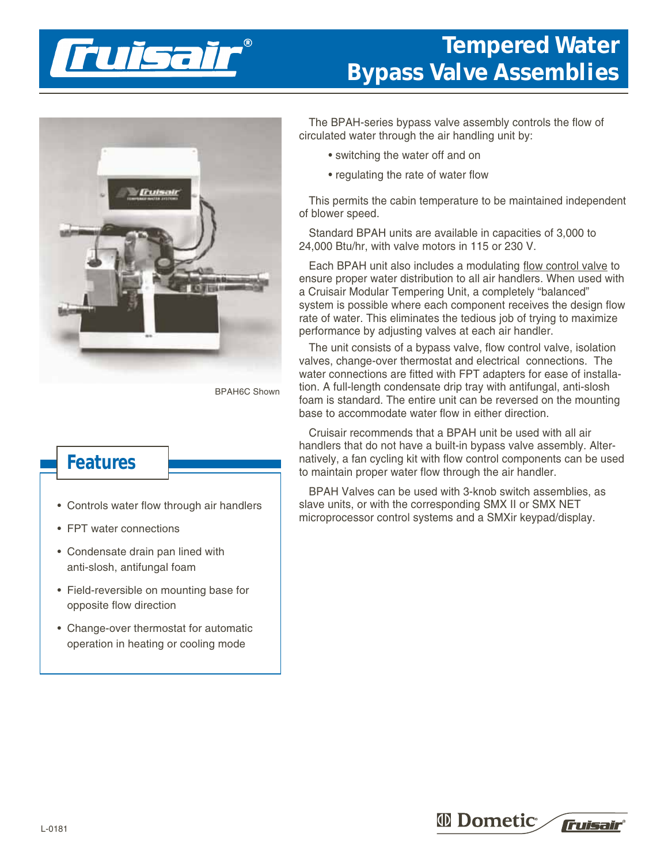

## **Tempered Water Bypass Valve Assemblies**



BPAH6C Shown

## **Features**

- Controls water flow through air handlers
- FPT water connections
- Condensate drain pan lined with anti-slosh, antifungal foam
- Field-reversible on mounting base for opposite flow direction
- Change-over thermostat for automatic operation in heating or cooling mode

The BPAH-series bypass valve assembly controls the flow of circulated water through the air handling unit by:

- switching the water off and on
- regulating the rate of water flow

This permits the cabin temperature to be maintained independent of blower speed.

Standard BPAH units are available in capacities of 3,000 to 24,000 Btu/hr, with valve motors in 115 or 230 V.

Each BPAH unit also includes a modulating flow control valve to ensure proper water distribution to all air handlers. When used with a Cruisair Modular Tempering Unit, a completely "balanced" system is possible where each component receives the design flow rate of water. This eliminates the tedious job of trying to maximize performance by adjusting valves at each air handler.

The unit consists of a bypass valve, flow control valve, isolation valves, change-over thermostat and electrical connections. The water connections are fitted with FPT adapters for ease of installation. A full-length condensate drip tray with antifungal, anti-slosh foam is standard. The entire unit can be reversed on the mounting base to accommodate water flow in either direction.

Cruisair recommends that a BPAH unit be used with all air handlers that do not have a built-in bypass valve assembly. Alternatively, a fan cycling kit with flow control components can be used to maintain proper water flow through the air handler.

BPAH Valves can be used with 3-knob switch assemblies, as slave units, or with the corresponding SMX II or SMX NET microprocessor control systems and a SMXir keypad/display.